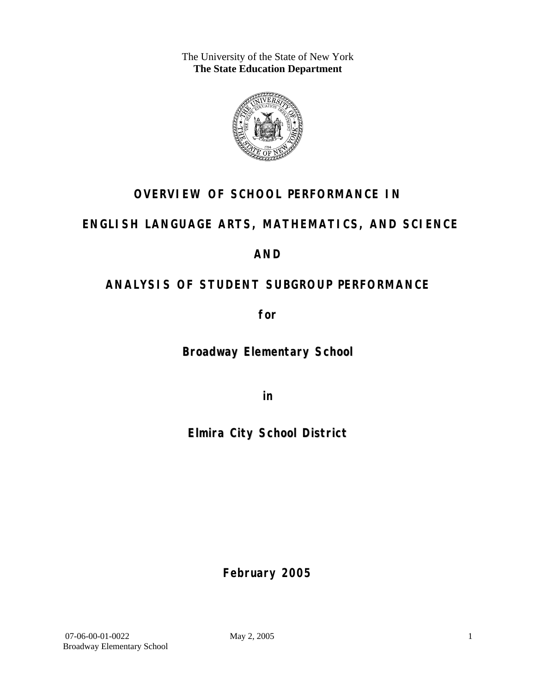The University of the State of New York **The State Education Department** 



### **OVERVIEW OF SCHOOL PERFORMANCE IN**

### **ENGLISH LANGUAGE ARTS, MATHEMATICS, AND SCIENCE**

### **AND**

### **ANALYSIS OF STUDENT SUBGROUP PERFORMANCE**

**for** 

**Broadway Elementary School**

**in** 

**Elmira City School District**

**February 2005**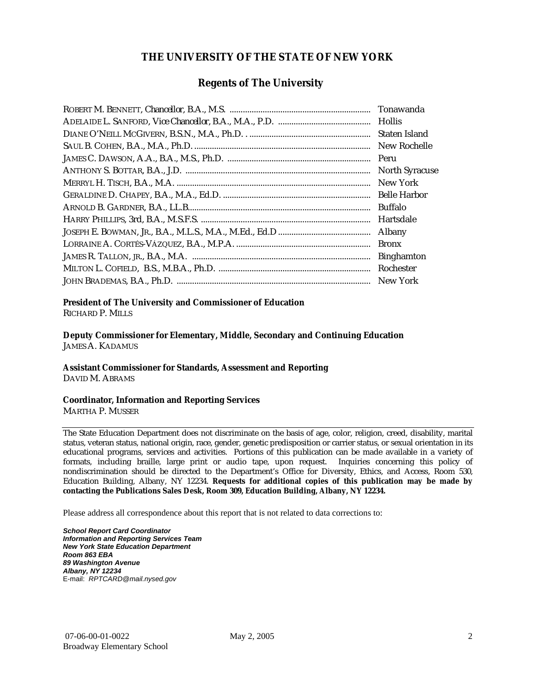#### **THE UNIVERSITY OF THE STATE OF NEW YORK**

#### **Regents of The University**

| Tonawanda             |
|-----------------------|
|                       |
| Staten Island         |
| New Rochelle          |
| Peru                  |
| <b>North Syracuse</b> |
| New York              |
| <b>Belle Harbor</b>   |
| <b>Buffalo</b>        |
| Hartsdale             |
| Albany                |
| <b>Bronx</b>          |
| <b>Binghamton</b>     |
| Rochester             |
| New York              |

### **President of The University and Commissioner of Education**

RICHARD P. MILLS

**Deputy Commissioner for Elementary, Middle, Secondary and Continuing Education**  JAMES A. KADAMUS

#### **Assistant Commissioner for Standards, Assessment and Reporting**  DAVID M. ABRAMS

**Coordinator, Information and Reporting Services** 

MARTHA P. MUSSER

The State Education Department does not discriminate on the basis of age, color, religion, creed, disability, marital status, veteran status, national origin, race, gender, genetic predisposition or carrier status, or sexual orientation in its educational programs, services and activities. Portions of this publication can be made available in a variety of formats, including braille, large print or audio tape, upon request. Inquiries concerning this policy of nondiscrimination should be directed to the Department's Office for Diversity, Ethics, and Access, Room 530, Education Building, Albany, NY 12234. **Requests for additional copies of this publication may be made by contacting the Publications Sales Desk, Room 309, Education Building, Albany, NY 12234.** 

Please address all correspondence about this report that is not related to data corrections to:

*School Report Card Coordinator Information and Reporting Services Team New York State Education Department Room 863 EBA 89 Washington Avenue Albany, NY 12234*  E-mail: *RPTCARD@mail.nysed.gov*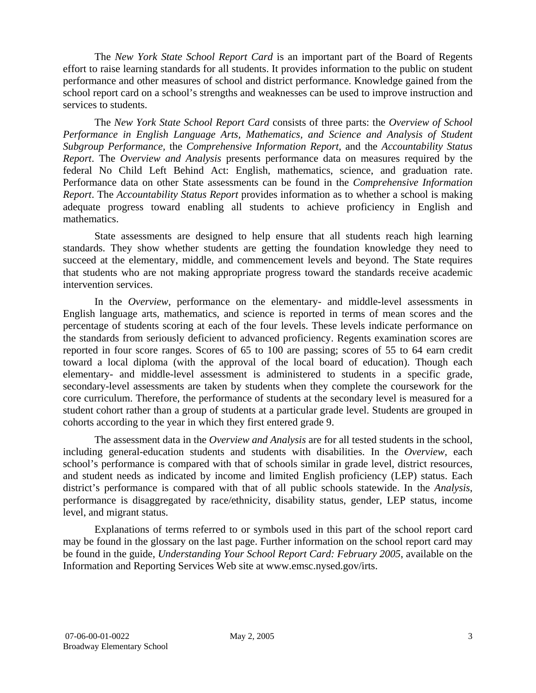The *New York State School Report Card* is an important part of the Board of Regents effort to raise learning standards for all students. It provides information to the public on student performance and other measures of school and district performance. Knowledge gained from the school report card on a school's strengths and weaknesses can be used to improve instruction and services to students.

The *New York State School Report Card* consists of three parts: the *Overview of School Performance in English Language Arts, Mathematics, and Science and Analysis of Student Subgroup Performance,* the *Comprehensive Information Report,* and the *Accountability Status Report*. The *Overview and Analysis* presents performance data on measures required by the federal No Child Left Behind Act: English, mathematics, science, and graduation rate. Performance data on other State assessments can be found in the *Comprehensive Information Report*. The *Accountability Status Report* provides information as to whether a school is making adequate progress toward enabling all students to achieve proficiency in English and mathematics.

State assessments are designed to help ensure that all students reach high learning standards. They show whether students are getting the foundation knowledge they need to succeed at the elementary, middle, and commencement levels and beyond. The State requires that students who are not making appropriate progress toward the standards receive academic intervention services.

In the *Overview*, performance on the elementary- and middle-level assessments in English language arts, mathematics, and science is reported in terms of mean scores and the percentage of students scoring at each of the four levels. These levels indicate performance on the standards from seriously deficient to advanced proficiency. Regents examination scores are reported in four score ranges. Scores of 65 to 100 are passing; scores of 55 to 64 earn credit toward a local diploma (with the approval of the local board of education). Though each elementary- and middle-level assessment is administered to students in a specific grade, secondary-level assessments are taken by students when they complete the coursework for the core curriculum. Therefore, the performance of students at the secondary level is measured for a student cohort rather than a group of students at a particular grade level. Students are grouped in cohorts according to the year in which they first entered grade 9.

The assessment data in the *Overview and Analysis* are for all tested students in the school, including general-education students and students with disabilities. In the *Overview*, each school's performance is compared with that of schools similar in grade level, district resources, and student needs as indicated by income and limited English proficiency (LEP) status. Each district's performance is compared with that of all public schools statewide. In the *Analysis*, performance is disaggregated by race/ethnicity, disability status, gender, LEP status, income level, and migrant status.

Explanations of terms referred to or symbols used in this part of the school report card may be found in the glossary on the last page. Further information on the school report card may be found in the guide, *Understanding Your School Report Card: February 2005*, available on the Information and Reporting Services Web site at www.emsc.nysed.gov/irts.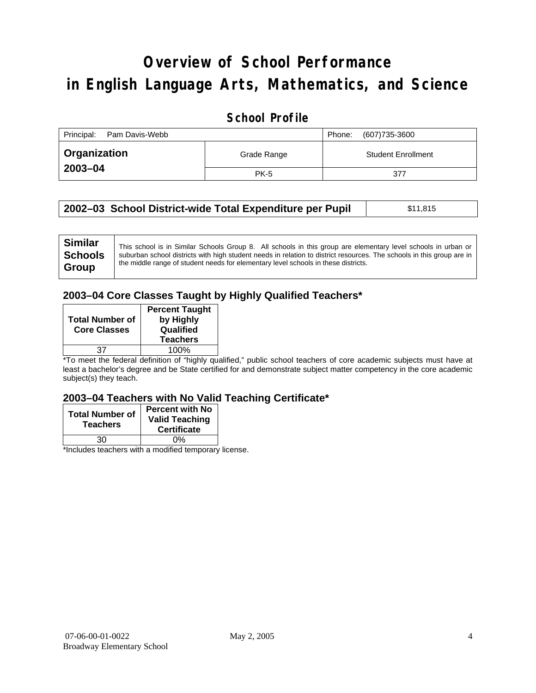# **Overview of School Performance in English Language Arts, Mathematics, and Science**

### **School Profile**

| Principal:<br>Pam Davis-Webb |             | Phone:<br>(607)735-3600   |
|------------------------------|-------------|---------------------------|
| ∣ Organization               | Grade Range | <b>Student Enrollment</b> |
| 2003-04                      | <b>PK-5</b> | 377                       |

| 2002–03 School District-wide Total Expenditure per Pupil | \$11,815 |
|----------------------------------------------------------|----------|
|----------------------------------------------------------|----------|

| <b>Similar</b> | This school is in Similar Schools Group 8. All schools in this group are elementary level schools in urban or         |
|----------------|-----------------------------------------------------------------------------------------------------------------------|
| <b>Schools</b> | suburban school districts with high student needs in relation to district resources. The schools in this group are in |
| Group          | the middle range of student needs for elementary level schools in these districts.                                    |
|                |                                                                                                                       |

### **2003–04 Core Classes Taught by Highly Qualified Teachers\***

| <b>Total Number of</b><br><b>Core Classes</b> | <b>Percent Taught</b><br>by Highly<br>Qualified<br><b>Teachers</b> |
|-----------------------------------------------|--------------------------------------------------------------------|
| 27                                            | 100%                                                               |

\*To meet the federal definition of "highly qualified," public school teachers of core academic subjects must have at least a bachelor's degree and be State certified for and demonstrate subject matter competency in the core academic subject(s) they teach.

#### **2003–04 Teachers with No Valid Teaching Certificate\***

| <b>Total Number of</b><br><b>Teachers</b> | <b>Percent with No</b><br><b>Valid Teaching</b><br><b>Certificate</b> |
|-------------------------------------------|-----------------------------------------------------------------------|
| 30                                        | 0%                                                                    |
| $\mathbf{A}$<br>$\cdots$                  |                                                                       |

\*Includes teachers with a modified temporary license.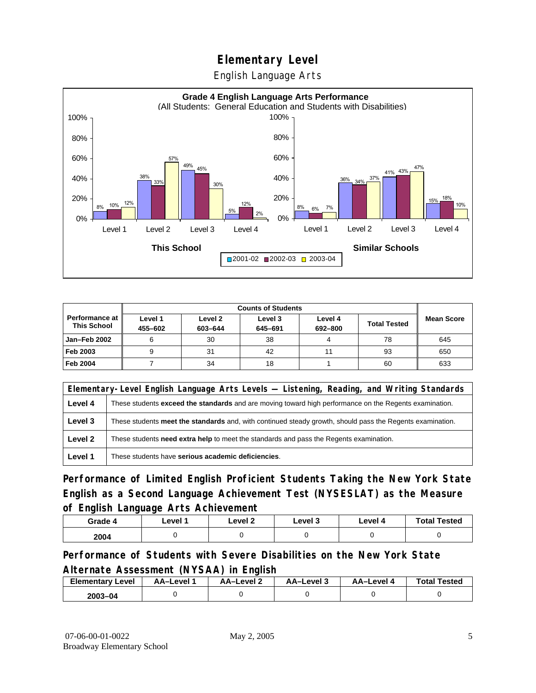English Language Arts



|                                             |                    | <b>Counts of Students</b> |                    |                    |                     |                   |
|---------------------------------------------|--------------------|---------------------------|--------------------|--------------------|---------------------|-------------------|
| <b>Performance at</b><br><b>This School</b> | Level 1<br>455-602 | Level 2<br>603-644        | Level 3<br>645-691 | Level 4<br>692-800 | <b>Total Tested</b> | <b>Mean Score</b> |
| Jan-Feb 2002                                | 6                  | 30                        | 38                 |                    | 78                  | 645               |
| Feb 2003                                    | 9                  | 31                        | 42                 | 11                 | 93                  | 650               |
| <b>Feb 2004</b>                             |                    | 34                        | 18                 |                    | 60                  | 633               |

|         | Elementary-Level English Language Arts Levels — Listening, Reading, and Writing Standards                 |  |  |  |
|---------|-----------------------------------------------------------------------------------------------------------|--|--|--|
| Level 4 | These students exceed the standards and are moving toward high performance on the Regents examination.    |  |  |  |
| Level 3 | These students meet the standards and, with continued steady growth, should pass the Regents examination. |  |  |  |
| Level 2 | These students <b>need extra help</b> to meet the standards and pass the Regents examination.             |  |  |  |
| Level 1 | These students have serious academic deficiencies.                                                        |  |  |  |

**Performance of Limited English Proficient Students Taking the New York State English as a Second Language Achievement Test (NYSESLAT) as the Measure of English Language Arts Achievement**

| Grade 4 | Level 1 | Level 2 | Level 3 | Level 4 | <b>Total Tested</b> |
|---------|---------|---------|---------|---------|---------------------|
| 2004    |         |         |         |         |                     |

**Performance of Students with Severe Disabilities on the New York State Alternate Assessment (NYSAA) in English** 

| <b>Elementary Level</b> | AA–Level | <b>AA-Level 2</b> | AA-Level 3 | AA–Level 4 | <b>Total Tested</b> |
|-------------------------|----------|-------------------|------------|------------|---------------------|
| 2003-04                 |          |                   |            |            |                     |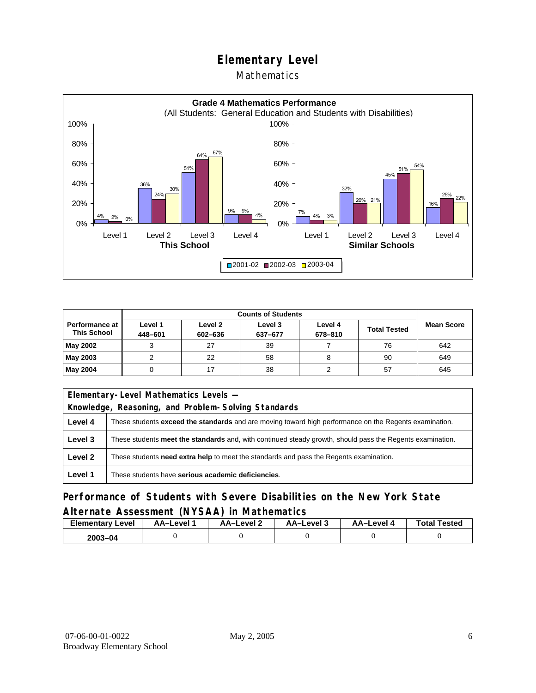#### **Mathematics**



|                                        |                    | <b>Counts of Students</b> |                    |                    |                     |                   |  |
|----------------------------------------|--------------------|---------------------------|--------------------|--------------------|---------------------|-------------------|--|
| Performance at I<br><b>This School</b> | Level 1<br>448-601 | Level 2<br>602-636        | Level 3<br>637-677 | Level 4<br>678-810 | <b>Total Tested</b> | <b>Mean Score</b> |  |
| May 2002                               |                    | 27                        | 39                 |                    | 76                  | 642               |  |
| May 2003                               |                    | 22                        | 58                 |                    | 90                  | 649               |  |
| May 2004                               |                    |                           | 38                 |                    | 57                  | 645               |  |

|         | Elementary-Level Mathematics Levels -                                                                         |  |  |  |
|---------|---------------------------------------------------------------------------------------------------------------|--|--|--|
|         | Knowledge, Reasoning, and Problem-Solving Standards                                                           |  |  |  |
| Level 4 | These students <b>exceed the standards</b> and are moving toward high performance on the Regents examination. |  |  |  |
| Level 3 | These students meet the standards and, with continued steady growth, should pass the Regents examination.     |  |  |  |
| Level 2 | These students <b>need extra help</b> to meet the standards and pass the Regents examination.                 |  |  |  |
| Level 1 | These students have serious academic deficiencies.                                                            |  |  |  |

#### **Performance of Students with Severe Disabilities on the New York State Alternate Assessment (NYSAA) in Mathematics**

| <b>Elementary</b><br>Level | AA-Level | AA-Level 2 | AA-Level 3 | AA-Level 4 | <b>Total Tested</b> |
|----------------------------|----------|------------|------------|------------|---------------------|
| $2003 - 04$                |          |            |            |            |                     |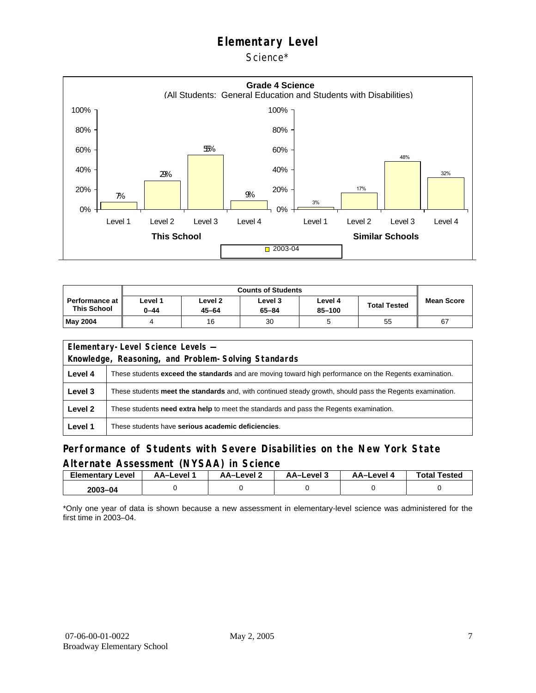Science\*



| Performance at <i>I</i><br><b>This School</b> | Level 1<br>0-44 | Level 2<br>$45 - 64$ | Level 3<br>$65 - 84$ | Level 4<br>85-100 | <b>Total Tested</b> | <b>Mean Score</b> |
|-----------------------------------------------|-----------------|----------------------|----------------------|-------------------|---------------------|-------------------|
| <b>May 2004</b>                               |                 | 16                   | 30                   |                   | 55                  | 67                |

| Elementary-Level Science Levels -                   |                                                                                                               |  |  |  |  |  |  |
|-----------------------------------------------------|---------------------------------------------------------------------------------------------------------------|--|--|--|--|--|--|
| Knowledge, Reasoning, and Problem-Solving Standards |                                                                                                               |  |  |  |  |  |  |
| Level 4                                             | These students <b>exceed the standards</b> and are moving toward high performance on the Regents examination. |  |  |  |  |  |  |
| Level 3                                             | These students meet the standards and, with continued steady growth, should pass the Regents examination.     |  |  |  |  |  |  |
| Level 2                                             | These students need extra help to meet the standards and pass the Regents examination.                        |  |  |  |  |  |  |
| Level 1                                             | These students have serious academic deficiencies.                                                            |  |  |  |  |  |  |

#### **Performance of Students with Severe Disabilities on the New York State Alternate Assessment (NYSAA) in Science**

| <b>Elementary Level</b> | AA-Level | AA–Level ∠ | د AA–Level | AA-Level 4 | <b>Total Tested</b> |
|-------------------------|----------|------------|------------|------------|---------------------|
| 2003-04                 |          |            |            |            |                     |

\*Only one year of data is shown because a new assessment in elementary-level science was administered for the first time in 2003–04.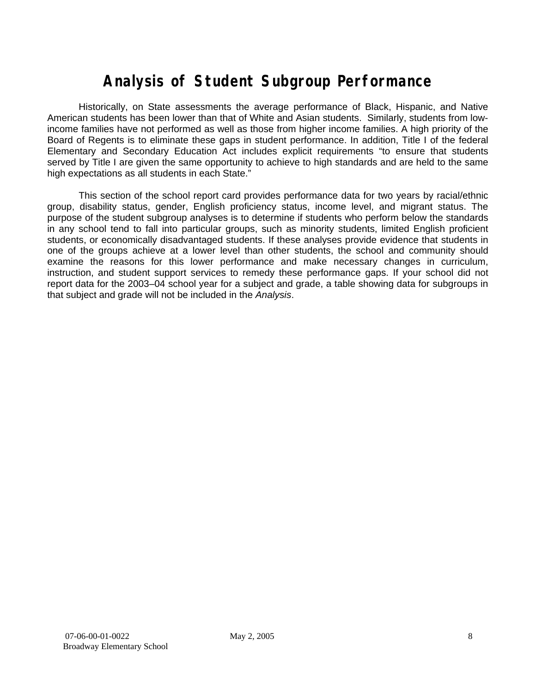## **Analysis of Student Subgroup Performance**

Historically, on State assessments the average performance of Black, Hispanic, and Native American students has been lower than that of White and Asian students. Similarly, students from lowincome families have not performed as well as those from higher income families. A high priority of the Board of Regents is to eliminate these gaps in student performance. In addition, Title I of the federal Elementary and Secondary Education Act includes explicit requirements "to ensure that students served by Title I are given the same opportunity to achieve to high standards and are held to the same high expectations as all students in each State."

This section of the school report card provides performance data for two years by racial/ethnic group, disability status, gender, English proficiency status, income level, and migrant status. The purpose of the student subgroup analyses is to determine if students who perform below the standards in any school tend to fall into particular groups, such as minority students, limited English proficient students, or economically disadvantaged students. If these analyses provide evidence that students in one of the groups achieve at a lower level than other students, the school and community should examine the reasons for this lower performance and make necessary changes in curriculum, instruction, and student support services to remedy these performance gaps. If your school did not report data for the 2003–04 school year for a subject and grade, a table showing data for subgroups in that subject and grade will not be included in the *Analysis*.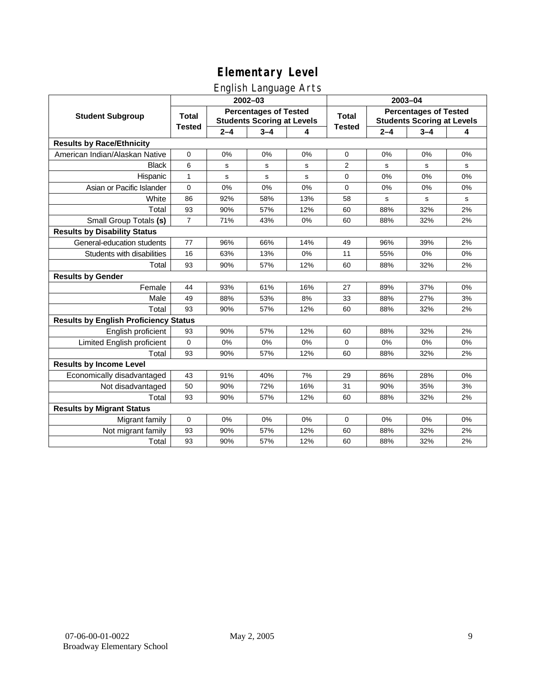### English Language Arts

|                                              |                |                                                                   | $2002 - 03$ |     | 2003-04       |                                                                   |         |           |
|----------------------------------------------|----------------|-------------------------------------------------------------------|-------------|-----|---------------|-------------------------------------------------------------------|---------|-----------|
| <b>Student Subgroup</b>                      | <b>Total</b>   | <b>Percentages of Tested</b><br><b>Students Scoring at Levels</b> |             |     | Total         | <b>Percentages of Tested</b><br><b>Students Scoring at Levels</b> |         |           |
|                                              | <b>Tested</b>  | $2 - 4$                                                           | $3 - 4$     | 4   | <b>Tested</b> | $2 - 4$                                                           | $3 - 4$ | 4         |
| <b>Results by Race/Ethnicity</b>             |                |                                                                   |             |     |               |                                                                   |         |           |
| American Indian/Alaskan Native               | 0              | 0%                                                                | 0%          | 0%  | 0             | 0%                                                                | 0%      | 0%        |
| <b>Black</b>                                 | 6              | s                                                                 | s           | s   | 2             | s                                                                 | s       | ${\tt s}$ |
| Hispanic                                     | $\mathbf{1}$   | s                                                                 | ${\tt s}$   | s   | 0             | 0%                                                                | 0%      | 0%        |
| Asian or Pacific Islander                    | 0              | 0%                                                                | 0%          | 0%  | 0             | 0%                                                                | 0%      | 0%        |
| White                                        | 86             | 92%                                                               | 58%         | 13% | 58            | s                                                                 | s       | s         |
| Total                                        | 93             | 90%                                                               | 57%         | 12% | 60            | 88%                                                               | 32%     | 2%        |
| Small Group Totals (s)                       | $\overline{7}$ | 71%                                                               | 43%         | 0%  | 60            | 88%                                                               | 32%     | 2%        |
| <b>Results by Disability Status</b>          |                |                                                                   |             |     |               |                                                                   |         |           |
| General-education students                   | 77             | 96%                                                               | 66%         | 14% | 49            | 96%                                                               | 39%     | 2%        |
| Students with disabilities                   | 16             | 63%                                                               | 13%         | 0%  | 11            | 55%                                                               | 0%      | 0%        |
| Total                                        | 93             | 90%                                                               | 57%         | 12% | 60            | 88%                                                               | 32%     | 2%        |
| <b>Results by Gender</b>                     |                |                                                                   |             |     |               |                                                                   |         |           |
| Female                                       | 44             | 93%                                                               | 61%         | 16% | 27            | 89%                                                               | 37%     | 0%        |
| Male                                         | 49             | 88%                                                               | 53%         | 8%  | 33            | 88%                                                               | 27%     | 3%        |
| Total                                        | 93             | 90%                                                               | 57%         | 12% | 60            | 88%                                                               | 32%     | 2%        |
| <b>Results by English Proficiency Status</b> |                |                                                                   |             |     |               |                                                                   |         |           |
| English proficient                           | 93             | 90%                                                               | 57%         | 12% | 60            | 88%                                                               | 32%     | 2%        |
| Limited English proficient                   | 0              | 0%                                                                | 0%          | 0%  | 0             | 0%                                                                | 0%      | 0%        |
| Total                                        | 93             | 90%                                                               | 57%         | 12% | 60            | 88%                                                               | 32%     | 2%        |
| <b>Results by Income Level</b>               |                |                                                                   |             |     |               |                                                                   |         |           |
| Economically disadvantaged                   | 43             | 91%                                                               | 40%         | 7%  | 29            | 86%                                                               | 28%     | 0%        |
| Not disadvantaged                            | 50             | 90%                                                               | 72%         | 16% | 31            | 90%                                                               | 35%     | 3%        |
| Total                                        | 93             | 90%                                                               | 57%         | 12% | 60            | 88%                                                               | 32%     | 2%        |
| <b>Results by Migrant Status</b>             |                |                                                                   |             |     |               |                                                                   |         |           |
| Migrant family                               | $\mathbf 0$    | 0%                                                                | 0%          | 0%  | 0             | 0%                                                                | 0%      | 0%        |
| Not migrant family                           | 93             | 90%                                                               | 57%         | 12% | 60            | 88%                                                               | 32%     | 2%        |
| Total                                        | 93             | 90%                                                               | 57%         | 12% | 60            | 88%                                                               | 32%     | 2%        |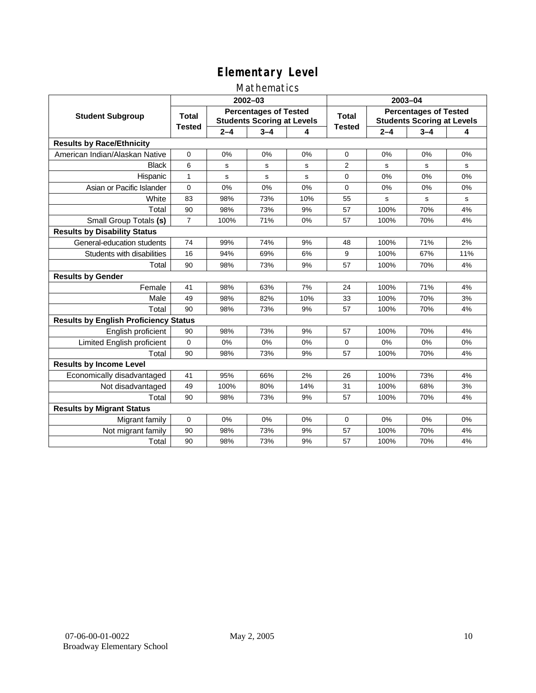### Mathematics

|                                              |                                                                                   |         | 2002-03 |       | 2003-04                                                           |         |         |           |  |
|----------------------------------------------|-----------------------------------------------------------------------------------|---------|---------|-------|-------------------------------------------------------------------|---------|---------|-----------|--|
| <b>Student Subgroup</b>                      | <b>Percentages of Tested</b><br><b>Total</b><br><b>Students Scoring at Levels</b> |         |         | Total | <b>Percentages of Tested</b><br><b>Students Scoring at Levels</b> |         |         |           |  |
|                                              | <b>Tested</b>                                                                     | $2 - 4$ | $3 - 4$ | 4     | <b>Tested</b>                                                     | $2 - 4$ | $3 - 4$ | 4         |  |
| <b>Results by Race/Ethnicity</b>             |                                                                                   |         |         |       |                                                                   |         |         |           |  |
| American Indian/Alaskan Native               | $\mathbf 0$                                                                       | 0%      | 0%      | 0%    | $\Omega$                                                          | 0%      | 0%      | 0%        |  |
| <b>Black</b>                                 | 6                                                                                 | s       | s       | s     | $\overline{2}$                                                    | s       | s       | s         |  |
| Hispanic                                     | $\mathbf{1}$                                                                      | s       | s       | s     | 0                                                                 | 0%      | 0%      | 0%        |  |
| Asian or Pacific Islander                    | $\mathbf 0$                                                                       | 0%      | 0%      | 0%    | 0                                                                 | 0%      | 0%      | 0%        |  |
| White                                        | 83                                                                                | 98%     | 73%     | 10%   | 55                                                                | s       | s       | ${\tt s}$ |  |
| Total                                        | 90                                                                                | 98%     | 73%     | 9%    | 57                                                                | 100%    | 70%     | 4%        |  |
| Small Group Totals (s)                       | $\overline{7}$                                                                    | 100%    | 71%     | 0%    | 57                                                                | 100%    | 70%     | 4%        |  |
| <b>Results by Disability Status</b>          |                                                                                   |         |         |       |                                                                   |         |         |           |  |
| General-education students                   | 74                                                                                | 99%     | 74%     | 9%    | 48                                                                | 100%    | 71%     | 2%        |  |
| Students with disabilities                   | 16                                                                                | 94%     | 69%     | 6%    | 9                                                                 | 100%    | 67%     | 11%       |  |
| Total                                        | 90                                                                                | 98%     | 73%     | 9%    | 57                                                                | 100%    | 70%     | 4%        |  |
| <b>Results by Gender</b>                     |                                                                                   |         |         |       |                                                                   |         |         |           |  |
| Female                                       | 41                                                                                | 98%     | 63%     | 7%    | 24                                                                | 100%    | 71%     | 4%        |  |
| Male                                         | 49                                                                                | 98%     | 82%     | 10%   | 33                                                                | 100%    | 70%     | 3%        |  |
| Total                                        | 90                                                                                | 98%     | 73%     | 9%    | 57                                                                | 100%    | 70%     | 4%        |  |
| <b>Results by English Proficiency Status</b> |                                                                                   |         |         |       |                                                                   |         |         |           |  |
| English proficient                           | 90                                                                                | 98%     | 73%     | 9%    | 57                                                                | 100%    | 70%     | 4%        |  |
| Limited English proficient                   | $\Omega$                                                                          | 0%      | 0%      | 0%    | $\overline{0}$                                                    | 0%      | 0%      | 0%        |  |
| Total                                        | 90                                                                                | 98%     | 73%     | 9%    | 57                                                                | 100%    | 70%     | 4%        |  |
| <b>Results by Income Level</b>               |                                                                                   |         |         |       |                                                                   |         |         |           |  |
| Economically disadvantaged                   | 41                                                                                | 95%     | 66%     | 2%    | 26                                                                | 100%    | 73%     | 4%        |  |
| Not disadvantaged                            | 49                                                                                | 100%    | 80%     | 14%   | 31                                                                | 100%    | 68%     | 3%        |  |
| Total                                        | 90                                                                                | 98%     | 73%     | 9%    | 57                                                                | 100%    | 70%     | 4%        |  |
| <b>Results by Migrant Status</b>             |                                                                                   |         |         |       |                                                                   |         |         |           |  |
| Migrant family                               | $\mathbf 0$                                                                       | 0%      | 0%      | 0%    | 0                                                                 | 0%      | 0%      | 0%        |  |
| Not migrant family                           | 90                                                                                | 98%     | 73%     | 9%    | 57                                                                | 100%    | 70%     | 4%        |  |
| Total                                        | 90                                                                                | 98%     | 73%     | 9%    | 57                                                                | 100%    | 70%     | 4%        |  |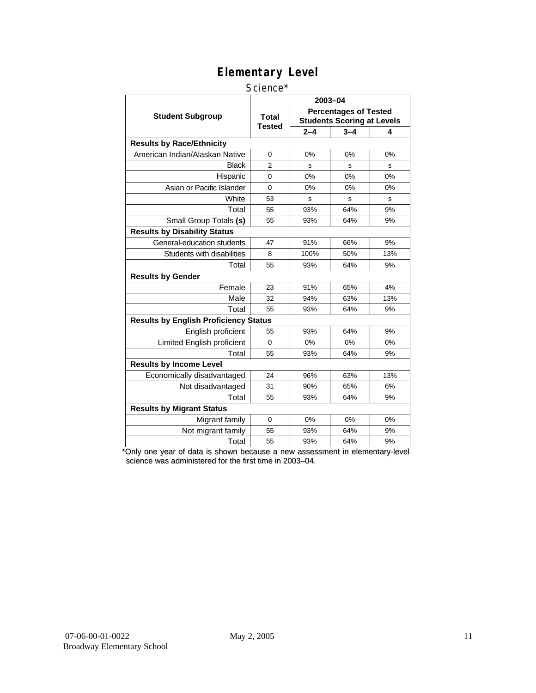#### Science\*

|                                              | 2003-04                |                                                                   |         |     |  |  |  |
|----------------------------------------------|------------------------|-------------------------------------------------------------------|---------|-----|--|--|--|
| <b>Student Subgroup</b>                      | <b>Total</b><br>Tested | <b>Percentages of Tested</b><br><b>Students Scoring at Levels</b> |         |     |  |  |  |
|                                              |                        | $2 - 4$                                                           | $3 - 4$ | 4   |  |  |  |
| <b>Results by Race/Ethnicity</b>             |                        |                                                                   |         |     |  |  |  |
| American Indian/Alaskan Native               | $\Omega$               | 0%                                                                | 0%      | 0%  |  |  |  |
| <b>Black</b>                                 | $\overline{2}$         | S                                                                 | S       | s   |  |  |  |
| Hispanic                                     | $\overline{0}$         | 0%                                                                | 0%      | 0%  |  |  |  |
| Asian or Pacific Islander                    | 0                      | 0%                                                                | 0%      | 0%  |  |  |  |
| White                                        | 53                     | s                                                                 | s       | s   |  |  |  |
| Total                                        | 55                     | 93%                                                               | 64%     | 9%  |  |  |  |
| Small Group Totals (s)                       | 55                     | 93%                                                               | 64%     | 9%  |  |  |  |
| <b>Results by Disability Status</b>          |                        |                                                                   |         |     |  |  |  |
| General-education students                   | 47                     | 91%                                                               | 66%     | 9%  |  |  |  |
| Students with disabilities                   | 8                      | 100%                                                              | 50%     | 13% |  |  |  |
| Total                                        | 55                     | 93%                                                               | 64%     | 9%  |  |  |  |
| <b>Results by Gender</b>                     |                        |                                                                   |         |     |  |  |  |
| Female                                       | 23                     | 91%                                                               | 65%     | 4%  |  |  |  |
| Male                                         | 32                     | 94%                                                               | 63%     | 13% |  |  |  |
| Total                                        | 55                     | 93%                                                               | 64%     | 9%  |  |  |  |
| <b>Results by English Proficiency Status</b> |                        |                                                                   |         |     |  |  |  |
| English proficient                           | 55                     | 93%                                                               | 64%     | 9%  |  |  |  |
| Limited English proficient                   | $\Omega$               | 0%                                                                | 0%      | 0%  |  |  |  |
| Total                                        | 55                     | 93%                                                               | 64%     | 9%  |  |  |  |
| <b>Results by Income Level</b>               |                        |                                                                   |         |     |  |  |  |
| Economically disadvantaged                   | 24                     | 96%                                                               | 63%     | 13% |  |  |  |
| Not disadvantaged                            | 31                     | 90%                                                               | 65%     | 6%  |  |  |  |
| Total                                        | 55                     | 93%                                                               | 64%     | 9%  |  |  |  |
| <b>Results by Migrant Status</b>             |                        |                                                                   |         |     |  |  |  |
| Migrant family                               | 0                      | 0%                                                                | 0%      | 0%  |  |  |  |
| Not migrant family                           | 55                     | 93%                                                               | 64%     | 9%  |  |  |  |
| Total                                        | 55                     | 93%                                                               | 64%     | 9%  |  |  |  |

\*Only one year of data is shown because a new assessment in elementary-level science was administered for the first time in 2003–04.